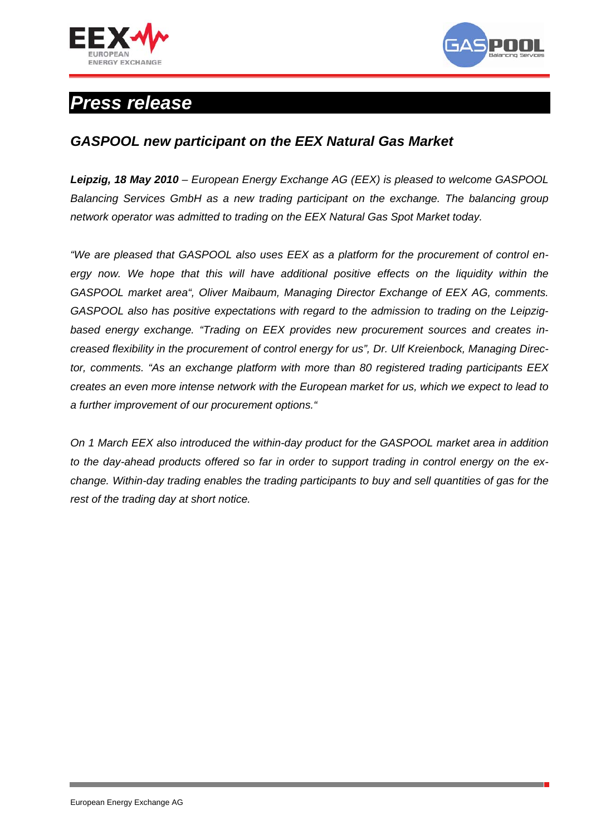



## *Press release*

## *GASPOOL new participant on the EEX Natural Gas Market*

*Leipzig, 18 May 2010 – European Energy Exchange AG (EEX) is pleased to welcome GASPOOL Balancing Services GmbH as a new trading participant on the exchange. The balancing group network operator was admitted to trading on the EEX Natural Gas Spot Market today.* 

*"We are pleased that GASPOOL also uses EEX as a platform for the procurement of control en*ergy now. We hope that this will have additional positive effects on the liquidity within the *GASPOOL market area", Oliver Maibaum, Managing Director Exchange of EEX AG, comments. GASPOOL also has positive expectations with regard to the admission to trading on the Leipzigbased energy exchange. "Trading on EEX provides new procurement sources and creates increased flexibility in the procurement of control energy for us", Dr. Ulf Kreienbock, Managing Director, comments. "As an exchange platform with more than 80 registered trading participants EEX creates an even more intense network with the European market for us, which we expect to lead to a further improvement of our procurement options."* 

*On 1 March EEX also introduced the within-day product for the GASPOOL market area in addition to the day-ahead products offered so far in order to support trading in control energy on the exchange. Within-day trading enables the trading participants to buy and sell quantities of gas for the rest of the trading day at short notice.*